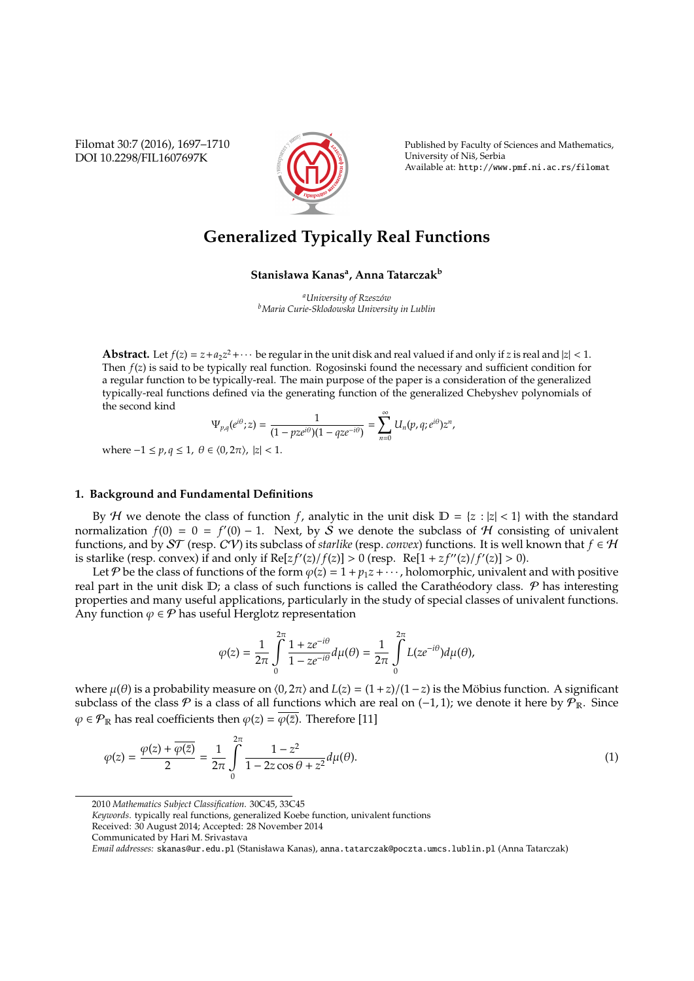Filomat 30:7 (2016), 1697–1710 DOI 10.2298/FIL1607697K



Published by Faculty of Sciences and Mathematics, University of Niš, Serbia Available at: http://www.pmf.ni.ac.rs/filomat

# **Generalized Typically Real Functions**

**Stanisława Kanas<sup>a</sup> , Anna Tatarczak<sup>b</sup>**

*<sup>a</sup>University of Rzesz´ow <sup>b</sup>Maria Curie-Sklodowska University in Lublin*

**Abstract.** Let  $f(z) = z + a_2 z^2 + \cdots$  be regular in the unit disk and real valued if and only if *z* is real and  $|z| < 1$ . Then *f*(*z*) is said to be typically real function. Rogosinski found the necessary and sufficient condition for a regular function to be typically-real. The main purpose of the paper is a consideration of the generalized typically-real functions defined via the generating function of the generalized Chebyshev polynomials of the second kind

$$
\Psi_{p,q}(e^{i\theta};z)=\frac{1}{(1-pze^{i\theta})(1-qze^{-i\theta})}=\sum_{n=0}^{\infty}U_n(p,q;e^{i\theta})z^n,
$$

where  $-1 ≤ p, q ≤ 1, θ ∈ (0, 2π), |z| < 1.$ 

## **1. Background and Fundamental Definitions**

By *H* we denote the class of function *f*, analytic in the unit disk  $D = \{z : |z| < 1\}$  with the standard normalization  $f(0) = 0 = f'(0) - 1$ . Next, by  $\check{S}$  we denote the subclass of  $H$  consisting of univalent functions, and by  $ST$  (resp.  $CV$ ) its subclass of *starlike* (resp. *convex*) functions. It is well known that  $f \in H$ is starlike (resp. convex) if and only if  $Re[zf'(z)/f(z)] > 0$  (resp.  $Re[1 + zf''(z)/f'(z)] > 0$ ).

Let P be the class of functions of the form  $\varphi(z) = 1 + p_1 z + \cdots$ , holomorphic, univalent and with positive real part in the unit disk  $D$ ; a class of such functions is called the Caratheodory class.  $P$  has interesting properties and many useful applications, particularly in the study of special classes of univalent functions. Any function  $\varphi \in \mathcal{P}$  has useful Herglotz representation

$$
\varphi(z) = \frac{1}{2\pi} \int\limits_{0}^{2\pi} \frac{1 + ze^{-i\theta}}{1 - ze^{-i\theta}} d\mu(\theta) = \frac{1}{2\pi} \int\limits_{0}^{2\pi} L(ze^{-i\theta}) d\mu(\theta),
$$

where  $\mu(\theta)$  is a probability measure on  $\langle 0, 2\pi \rangle$  and  $L(z) = (1+z)/(1-z)$  is the Möbius function. A significant subclass of the class  $P$  is a class of all functions which are real on (−1, 1); we denote it here by  $P_{\mathbb{R}}$ . Since  $\varphi \in \mathcal{P}_{\mathbb{R}}$  has real coefficients then  $\varphi(z) = \overline{\varphi(\overline{z})}$ . Therefore [11]

$$
\varphi(z) = \frac{\varphi(z) + \overline{\varphi(\bar{z})}}{2} = \frac{1}{2\pi} \int_{0}^{2\pi} \frac{1 - z^2}{1 - 2z\cos\theta + z^2} d\mu(\theta). \tag{1}
$$

2010 *Mathematics Subject Classification*. 30C45, 33C45

*Keywords*. typically real functions, generalized Koebe function, univalent functions

Received: 30 August 2014; Accepted: 28 November 2014

Communicated by Hari M. Srivastava

*Email addresses:* skanas@ur.edu.pl (Stanisława Kanas), anna.tatarczak@poczta.umcs.lublin.pl (Anna Tatarczak)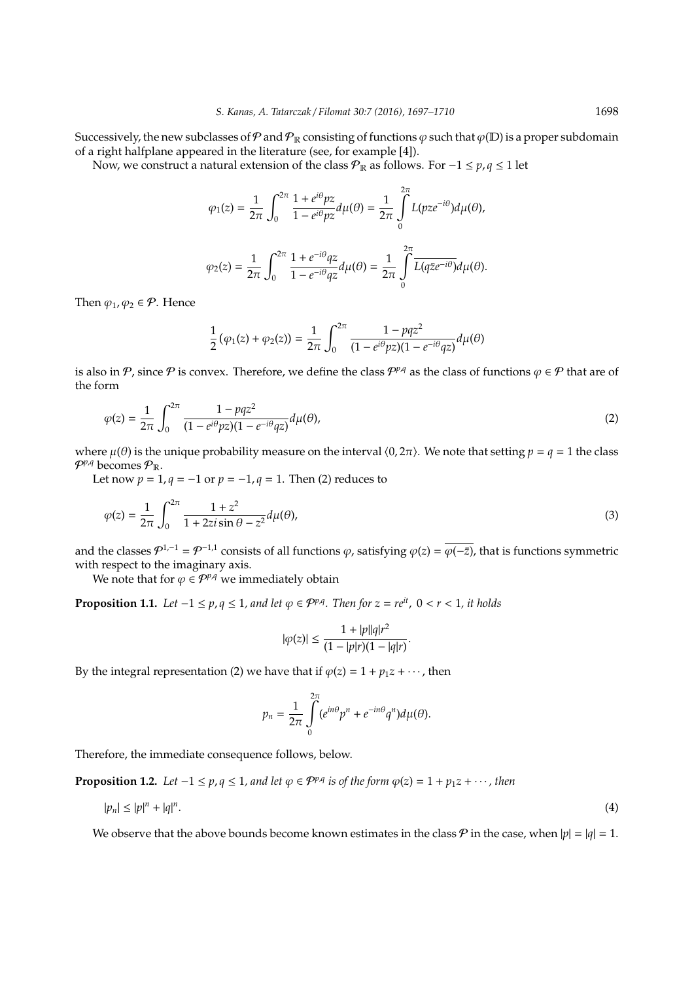Successively, the new subclasses of P and  $\mathcal{P}_R$  consisting of functions  $\varphi$  such that  $\varphi(D)$  is a proper subdomain of a right halfplane appeared in the literature (see, for example [4]).

Now, we construct a natural extension of the class  $P_{\mathbb{R}}$  as follows. For -1 ≤  $p, q \le 1$  let

$$
\varphi_1(z) = \frac{1}{2\pi} \int_0^{2\pi} \frac{1 + e^{i\theta}pz}{1 - e^{i\theta}pz} d\mu(\theta) = \frac{1}{2\pi} \int_0^{2\pi} L(pze^{-i\theta})d\mu(\theta),
$$
  

$$
\varphi_2(z) = \frac{1}{2\pi} \int_0^{2\pi} \frac{1 + e^{-i\theta}qz}{1 - e^{-i\theta}qz} d\mu(\theta) = \frac{1}{2\pi} \int_0^{2\pi} \overline{L(q\bar{z}e^{-i\theta})} d\mu(\theta).
$$

Then  $\varphi_1, \varphi_2 \in \mathcal{P}$ . Hence

$$
\frac{1}{2}\left(\varphi_{1}(z)+\varphi_{2}(z)\right)=\frac{1}{2\pi}\int_{0}^{2\pi}\frac{1-pqz^{2}}{(1-e^{i\theta}pz)(1-e^{-i\theta}qz)}d\mu(\theta)
$$

is also in P, since P is convex. Therefore, we define the class  $\mathcal{P}^{p,q}$  as the class of functions  $\varphi \in \mathcal{P}$  that are of the form

$$
\varphi(z) = \frac{1}{2\pi} \int_0^{2\pi} \frac{1 - pqz^2}{(1 - e^{i\theta}pz)(1 - e^{-i\theta}qz)} d\mu(\theta),\tag{2}
$$

where  $\mu(\theta)$  is the unique probability measure on the interval  $\langle 0, 2\pi \rangle$ . We note that setting  $p = q = 1$  the class  $P^{p,q}$  becomes  $P_{\mathbb{R}}$ .

Let now  $p = 1, q = -1$  or  $p = -1, q = 1$ . Then (2) reduces to

$$
\varphi(z) = \frac{1}{2\pi} \int_0^{2\pi} \frac{1+z^2}{1+2z i \sin \theta - z^2} d\mu(\theta),\tag{3}
$$

and the classes  $\mathcal{P}^{1,-1} = \mathcal{P}^{-1,1}$  consists of all functions  $\varphi$ , satisfying  $\varphi(z) = \overline{\varphi(-\bar{z})}$ , that is functions symmetric with respect to the imaginary axis.

We note that for  $\varphi \in \mathcal{P}^{p,q}$  we immediately obtain

**Proposition 1.1.** *Let* −1 ≤ *p*, *q* ≤ 1, and let  $\varphi$  ∈  $\mathcal{P}^{p,q}$ . Then for *z* = *re*<sup>*it*</sup>, 0 < *r* < 1, *it holds* 

$$
|\varphi(z)| \le \frac{1 + |p||q|r^2}{(1 - |p|r)(1 - |q|r)}.
$$

By the integral representation (2) we have that if  $\varphi(z) = 1 + p_1 z + \cdots$ , then

$$
p_n = \frac{1}{2\pi} \int\limits_0^{2\pi} (e^{in\theta} p^n + e^{-in\theta} q^n) d\mu(\theta).
$$

Therefore, the immediate consequence follows, below.

**Proposition 1.2.** Let  $-1 \le p, q \le 1$ , and let  $\varphi \in \mathcal{P}^{p,q}$  is of the form  $\varphi(z) = 1 + p_1 z + \cdots$ , then

$$
|p_n| \le |p|^n + |q|^n. \tag{4}
$$

We observe that the above bounds become known estimates in the class  $P$  in the case, when  $|p| = |q| = 1$ .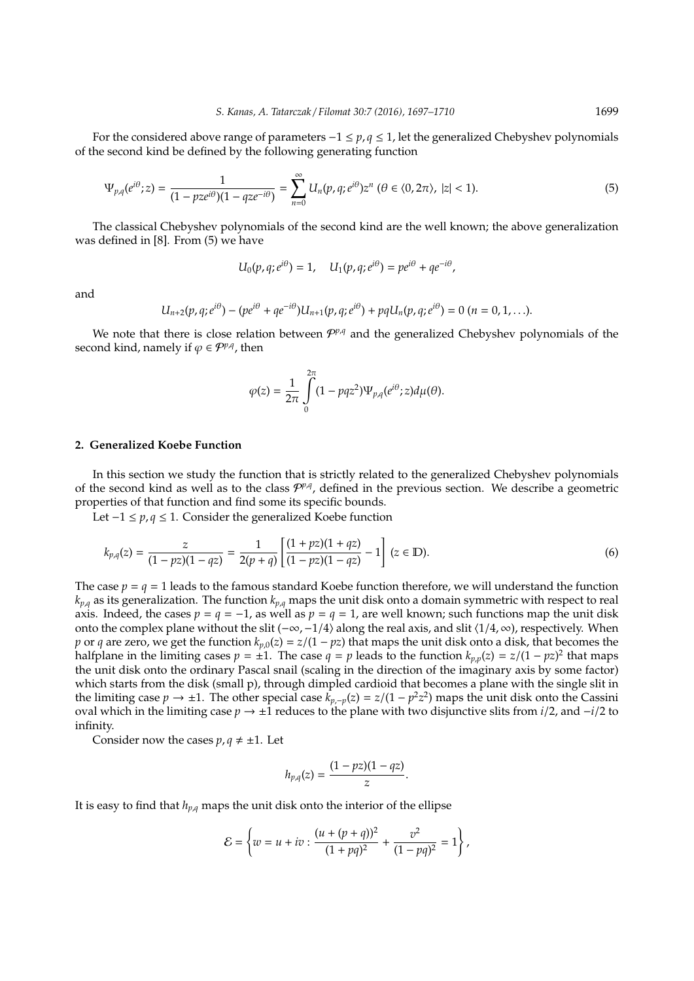For the considered above range of parameters −1 ≤ *p*, *q* ≤ 1, let the generalized Chebyshev polynomials of the second kind be defined by the following generating function

$$
\Psi_{p,q}(e^{i\theta};z) = \frac{1}{(1 - pze^{i\theta})(1 - qze^{-i\theta})} = \sum_{n=0}^{\infty} U_n(p,q;e^{i\theta})z^n \ (\theta \in \langle 0, 2\pi \rangle, \ |z| < 1). \tag{5}
$$

The classical Chebyshev polynomials of the second kind are the well known; the above generalization was defined in [8]. From (5) we have

$$
U_0(p,q;e^{i\theta})=1, \quad U_1(p,q;e^{i\theta})=pe^{i\theta}+qe^{-i\theta},
$$

and

$$
U_{n+2}(p,q;e^{i\theta})-(pe^{i\theta}+qe^{-i\theta})U_{n+1}(p,q;e^{i\theta})+pqU_n(p,q;e^{i\theta})=0 \ (n=0,1,\ldots).
$$

We note that there is close relation between  $\mathcal{P}^{p,q}$  and the generalized Chebyshev polynomials of the second kind, namely if  $\varphi \in \mathcal{P}^{p,q}$ , then

$$
\varphi(z) = \frac{1}{2\pi} \int\limits_0^{2\pi} (1 - pqz^2) \Psi_{p,q}(e^{i\theta}; z) d\mu(\theta).
$$

### **2. Generalized Koebe Function**

In this section we study the function that is strictly related to the generalized Chebyshev polynomials of the second kind as well as to the class  $\mathcal{P}^{p,q}$ , defined in the previous section. We describe a geometric properties of that function and find some its specific bounds.

Let −1 ≤ *p*, *q* ≤ 1. Consider the generalized Koebe function

$$
k_{p,q}(z) = \frac{z}{(1 - pz)(1 - qz)} = \frac{1}{2(p+q)} \left[ \frac{(1+pz)(1+qz)}{(1-pz)(1-qz)} - 1 \right] (z \in \mathbb{D}).
$$
 (6)

The case  $p = q = 1$  leads to the famous standard Koebe function therefore, we will understand the function  $k_{p,q}$  as its generalization. The function  $k_{p,q}$  maps the unit disk onto a domain symmetric with respect to real axis. Indeed, the cases  $p = q = -1$ , as well as  $p = q = 1$ , are well known; such functions map the unit disk onto the complex plane without the slit (−∞, −1/4) along the real axis, and slit  $\langle 1/4, \infty \rangle$ , respectively. When *p* or *q* are zero, we get the function  $k_{p,0}(z) = z/(1 - pz)$  that maps the unit disk onto a disk, that becomes the halfplane in the limiting cases  $p = \pm 1$ . The case  $q = p$  leads to the function  $k_{p,p}(z) = z/(1 - pz)^2$  that maps the unit disk onto the ordinary Pascal snail (scaling in the direction of the imaginary axis by some factor) which starts from the disk (small p), through dimpled cardioid that becomes a plane with the single slit in the limiting case *p* → ±1. The other special case  $k_{p,-p}(z) = z/(1-p^2z^2)$  maps the unit disk onto the Cassini oval which in the limiting case *p* → ±1 reduces to the plane with two disjunctive slits from *i*/2, and −*i*/2 to infinity.

Consider now the cases  $p, q \neq \pm 1$ . Let

$$
h_{p,q}(z)=\frac{(1-pz)(1-qz)}{z}.
$$

It is easy to find that  $h_{p,q}$  maps the unit disk onto the interior of the ellipse

$$
\mathcal{E} = \left\{ w = u + iv : \frac{(u + (p + q))^2}{(1 + pq)^2} + \frac{v^2}{(1 - pq)^2} = 1 \right\},\,
$$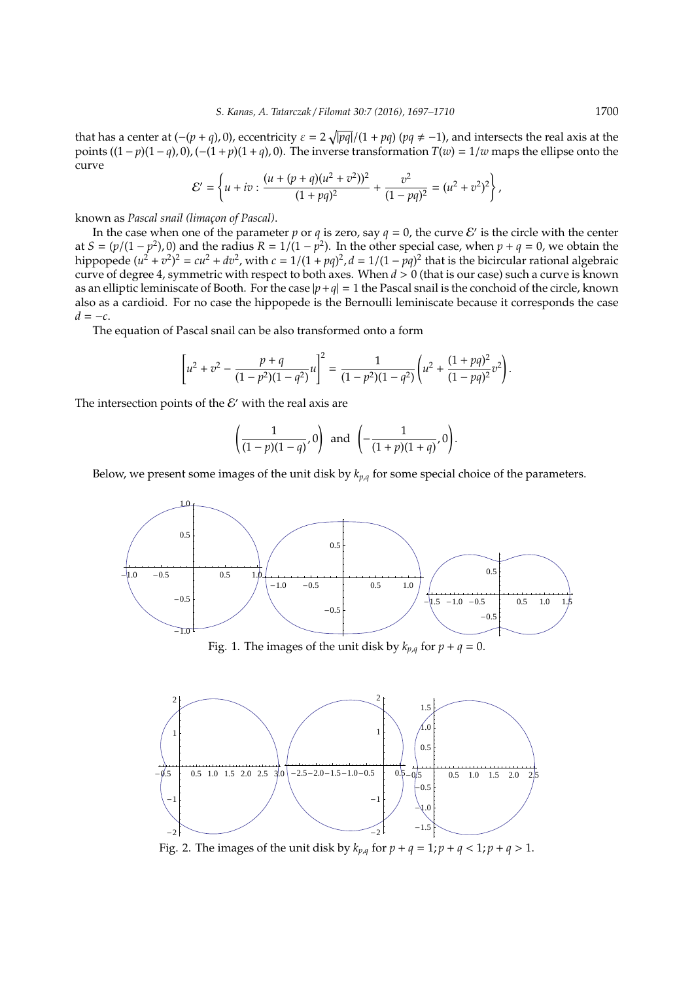that has a center at  $(-(p + q), 0)$ , eccentricity  $\varepsilon = 2\sqrt{|pq|}/(1 + pq)$  ( $pq \neq -1$ ), and intersects the real axis at the points  $((1-p)(1-q), 0)$ ,  $(-(1+p)(1+q), 0)$ . The inverse transformation  $T(w) = 1/w$  maps the ellipse onto the curve

$$
\mathcal{E}' = \left\{ u + iv : \frac{(u + (p + q)(u^2 + v^2))^2}{(1 + pq)^2} + \frac{v^2}{(1 - pq)^2} = (u^2 + v^2)^2 \right\},\,
$$

known as *Pascal snail (limac¸on of Pascal)*.

In the case when one of the parameter *p* or *q* is zero, say  $q = 0$ , the curve  $\mathcal{E}'$  is the circle with the center at  $S = (p/(1 - p^2), 0)$  and the radius  $R = 1/(1 - p^2)$ . In the other special case, when  $p + q = 0$ , we obtain the hippopede  $(u^2 + v^2)^2 = cu^2 + dv^2$ , with  $c = 1/(1 + pq)^2$ ,  $d = 1/(1 - pq)^2$  that is the bicircular rational algebraic curve of degree 4, symmetric with respect to both axes. When *d* > 0 (that is our case) such a curve is known as an elliptic leminiscate of Booth. For the case  $|p+q| = 1$  the Pascal snail is the conchoid of the circle, known also as a cardioid. For no case the hippopede is the Bernoulli leminiscate because it corresponds the case  $d = -c$ .

The equation of Pascal snail can be also transformed onto a form

$$
\left[u^2 + v^2 - \frac{p+q}{(1-p^2)(1-q^2)}u\right]^2 = \frac{1}{(1-p^2)(1-q^2)}\left(u^2 + \frac{(1+pq)^2}{(1-pq)^2}v^2\right).
$$

The intersection points of the  $\mathcal{E}'$  with the real axis are

$$
\left(\frac{1}{(1-p)(1-q)},0\right) \text{ and } \left(-\frac{1}{(1+p)(1+q)},0\right).
$$

Below, we present some images of the unit disk by  $k_{p,q}$  for some special choice of the parameters.



Fig. 1. The images of the unit disk by  $k_{p,q}$  for  $p + q = 0$ .



Fig. 2. The images of the unit disk by  $k_{p,q}$  for  $p + q = 1$ ;  $p + q < 1$ ;  $p + q > 1$ .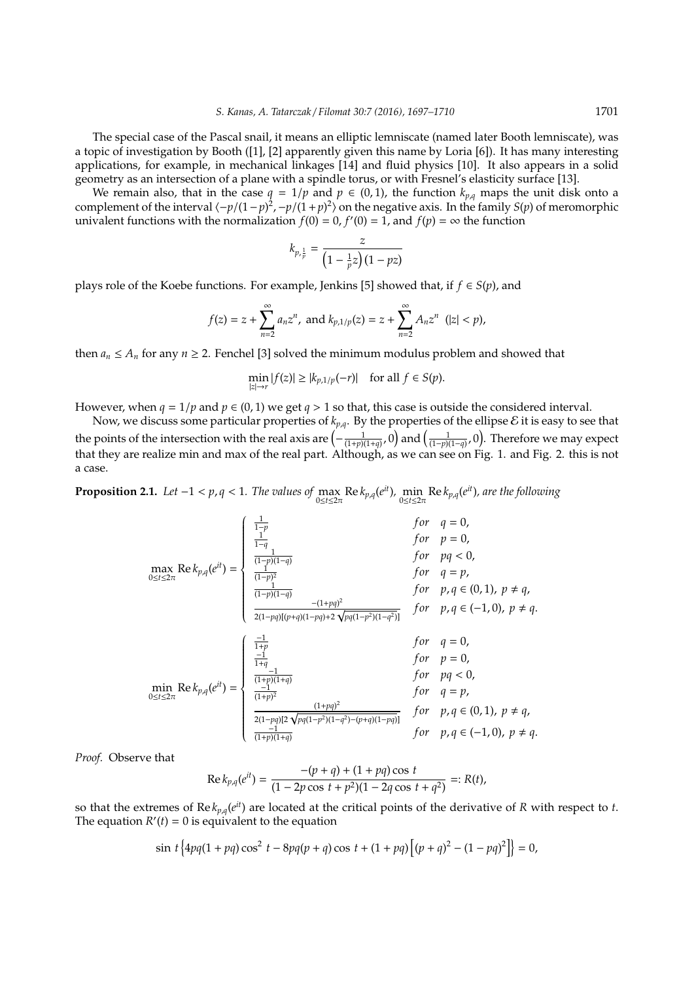The special case of the Pascal snail, it means an elliptic lemniscate (named later Booth lemniscate), was a topic of investigation by Booth ([1], [2] apparently given this name by Loria [6]). It has many interesting applications, for example, in mechanical linkages [14] and fluid physics [10]. It also appears in a solid geometry as an intersection of a plane with a spindle torus, or with Fresnel's elasticity surface [13].

We remain also, that in the case  $q = 1/p$  and  $p \in (0, 1)$ , the function  $k_{p,q}$  maps the unit disk onto a complement of the interval  $\langle -p/(1-p)^2, -p/(1+p)^2 \rangle$  on the negative axis. In the family *S*(*p*) of meromorphic univalent functions with the normalization  $f(0) = 0$ ,  $f'(0) = 1$ , and  $f(p) = \infty$  the function

$$
k_{p,\frac{1}{p}} = \frac{z}{\left(1 - \frac{1}{p}z\right)\left(1 - pz\right)}
$$

plays role of the Koebe functions. For example, Jenkins [5] showed that, if *f* ∈ *S*(*p*), and

$$
f(z) = z + \sum_{n=2}^{\infty} a_n z^n
$$
, and  $k_{p,1/p}(z) = z + \sum_{n=2}^{\infty} A_n z^n$  (|z| < p),

then  $a_n \le A_n$  for any  $n \ge 2$ . Fenchel [3] solved the minimum modulus problem and showed that

$$
\min_{|z|\to r} |f(z)| \ge |k_{p,1/p}(-r)| \quad \text{for all } f \in S(p).
$$

However, when  $q = 1/p$  and  $p \in (0, 1)$  we get  $q > 1$  so that, this case is outside the considered interval.

Now, we discuss some particular properties of  $k_{p,q}$ . By the properties of the ellipse  $\mathcal E$  it is easy to see that the points of the intersection with the real axis are  $\left(-\frac{1}{(1+p)(1+q)},0\right)$  and  $\left(\frac{1}{(1-p)(1-q)},0\right)$ . Therefore we may expect that they are realize min and max of the real part. Although, as we can see on Fig. 1. and Fig. 2. this is not a case.

**Proposition 2.1.** Let  $-1 < p, q < 1$ . The values of  $\max_{0 \le t \le 2\pi} \text{Re } k_{p,q}(e^{it})$ ,  $\min_{0 \le t \le 2\pi} \text{Re } k_{p,q}(e^{it})$ , are the following

$$
\max_{0 \le t \le 2\pi} \text{Re}\, k_{p,q}(e^{it}) = \begin{cases} \frac{1}{1-p} & \text{for} \quad q = 0, \\ \frac{1}{(1-p)(1-q)} & \text{for} \quad p = 0, \\ \frac{1}{(1-p)^2} & \text{for} \quad q = p, \\ \frac{1}{(1-p)(1-q)} & \text{for} \quad p, q \in (0,1), \ p \ne q, \\ \frac{- (1+pq)^2}{2(1-pq)[(p+q)(1-pq)+2\sqrt{pq(1-p^2)(1-q^2)}]} & \text{for} \quad p, q \in (-1,0), \ p \ne q. \end{cases}
$$
  
\n
$$
\min_{0 \le t \le 2\pi} \text{Re}\, k_{p,q}(e^{it}) = \begin{cases} \frac{1}{1+p} & \text{for} \quad q = 0, \\ \frac{-1}{1+q} & \text{for} \quad q = 0, \\ \frac{-1}{(1+p)(1+q)} & \text{for} \quad p = 0, \\ \frac{-1}{(1+p)^2} & \text{for} \quad q = p, \\ \frac{-1}{(1+p)^2} & \text{for} \quad p, q \in (0,1), \ p \ne q, \\ \frac{-1}{(1+p)(1+q)} & \text{for} \quad p, q \in (-1,0), \ p \ne q. \end{cases}
$$

*Proof.* Observe that

$$
Re k_{p,q}(e^{it}) = \frac{-(p+q) + (1+pq)\cos t}{(1-2p\cos t + p^2)(1-2q\cos t + q^2)} =: R(t),
$$

so that the extremes of  $\text{Re } k_{p,q}(e^{it})$  are located at the critical points of the derivative of  $R$  with respect to  $t$ . The equation  $R'(t) = 0$  is equivalent to the equation

$$
\sin t \left\{ 4pq(1+pq)\cos^2 t - 8pq(p+q)\cos t + (1+pq)\left[ (p+q)^2 - (1-pq)^2 \right] \right\} = 0,
$$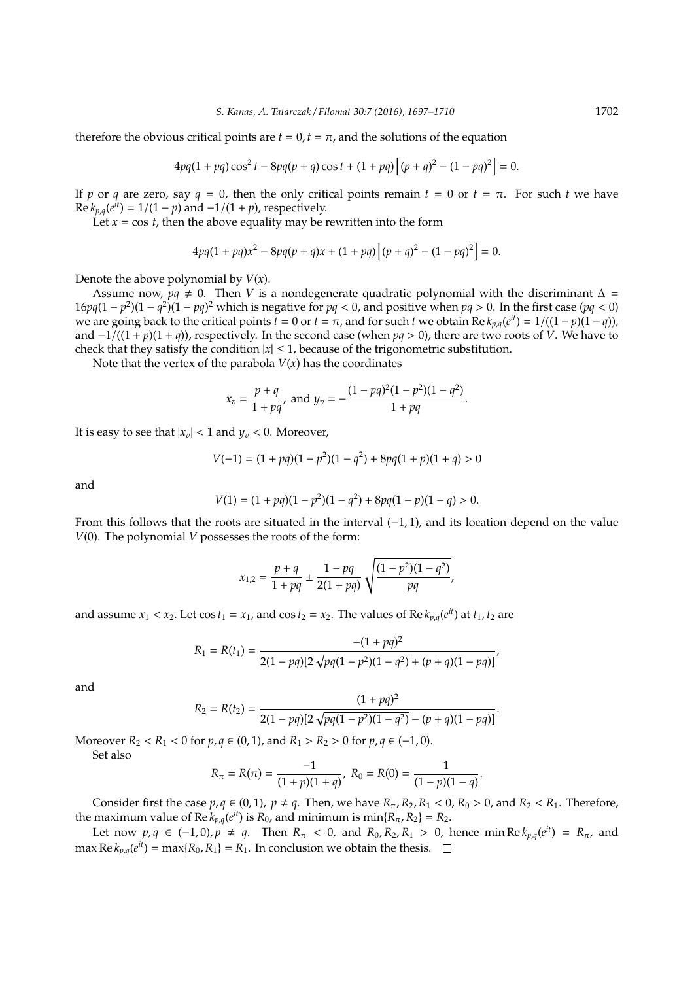therefore the obvious critical points are  $t = 0, t = \pi$ , and the solutions of the equation

$$
4pq(1+pq)\cos^2 t - 8pq(p+q)\cos t + (1+pq)\left[(p+q)^2 - (1-pq)^2\right] = 0.
$$

If *p* or *q* are zero, say  $q = 0$ , then the only critical points remain  $t = 0$  or  $t = \pi$ . For such *t* we have  $\text{Re } k_{p,q}(e^{it}) = 1/(1-p)$  and  $-1/(1+p)$ , respectively.

Let  $x = \cos t$ , then the above equality may be rewritten into the form

$$
4pq(1+pq)x^{2}-8pq(p+q)x+(1+pq)\left[(p+q)^{2}-(1-pq)^{2}\right]=0.
$$

Denote the above polynomial by *V*(*x*).

Assume now,  $pq \neq 0$ . Then *V* is a nondegenerate quadratic polynomial with the discriminant  $\Delta =$  $16pq(1-p^2)(1-q^2)(1-pq)^2$  which is negative for  $pq < 0$ , and positive when  $pq > 0$ . In the first case ( $pq < 0$ ) we are going back to the critical points  $t = 0$  or  $t = \pi$ , and for such  $t$  we obtain Re  $k_{p,q}(e^{it}) = 1/((1-p)(1-q))$ , and  $-1/((1 + p)(1 + q))$ , respectively. In the second case (when  $pq > 0$ ), there are two roots of *V*. We have to check that they satisfy the condition  $|x| \leq 1$ , because of the trigonometric substitution.

Note that the vertex of the parabola  $V(x)$  has the coordinates

$$
x_v = \frac{p+q}{1+pq}, \text{ and } y_v = -\frac{(1-pq)^2(1-p^2)(1-q^2)}{1+pq}.
$$

It is easy to see that  $|x_v|$  < 1 and  $y_v$  < 0. Moreover,

$$
V(-1) = (1 + pq)(1 - p2)(1 - q2) + 8pq(1 + p)(1 + q) > 0
$$

and

$$
V(1) = (1 + pq)(1 - p2)(1 - q2) + 8pq(1 - p)(1 - q) > 0.
$$

From this follows that the roots are situated in the interval  $(-1, 1)$ , and its location depend on the value *V*(0). The polynomial *V* possesses the roots of the form:

$$
x_{1,2} = \frac{p+q}{1+pq} \pm \frac{1-pq}{2(1+pq)} \sqrt{\frac{(1-p^2)(1-q^2)}{pq}},
$$

and assume  $x_1 < x_2$ . Let  $\cos t_1 = x_1$ , and  $\cos t_2 = x_2$ . The values of Re  $k_{p,q}(e^{it})$  at  $t_1, t_2$  are

$$
R_1 = R(t_1) = \frac{-(1+pq)^2}{2(1-pq)[2\sqrt{pq(1-p^2)(1-q^2)} + (p+q)(1-pq)]},
$$

and

$$
R_2 = R(t_2) = \frac{(1+pq)^2}{2(1-pq)[2\sqrt{pq(1-p^2)(1-q^2)}-(p+q)(1-pq)]}.
$$

Moreover *R*<sub>2</sub> < *R*<sub>1</sub> < 0 for *p*, *q* ∈ (0, 1), and *R*<sub>1</sub> > *R*<sub>2</sub> > 0 for *p*, *q* ∈ (−1, 0).

Set also

$$
R_{\pi} = R(\pi) = \frac{-1}{(1+p)(1+q)}, R_0 = R(0) = \frac{1}{(1-p)(1-q)}.
$$

Consider first the case  $p, q \in (0, 1)$ ,  $p \neq q$ . Then, we have  $R_{\pi}, R_2, R_1 < 0$ ,  $R_0 > 0$ , and  $R_2 < R_1$ . Therefore, the maximum value of Re  $k_{p,q}(e^{it})$  is  $R_0$ , and minimum is min $\{R_\pi, R_2\} = R_2$ .

Let now *p*, *q* ∈ (−1,0), *p* ≠ *q*. Then  $R_π$  < 0, and  $R_0$ ,  $R_2$ ,  $R_1$  > 0, hence min  $Re k_{p,q}(e^{it}) = R_π$ , and max  $\text{Re } k_{p,q}(e^{it}) = \max\{R_0, R_1\} = R_1$ . In conclusion we obtain the thesis.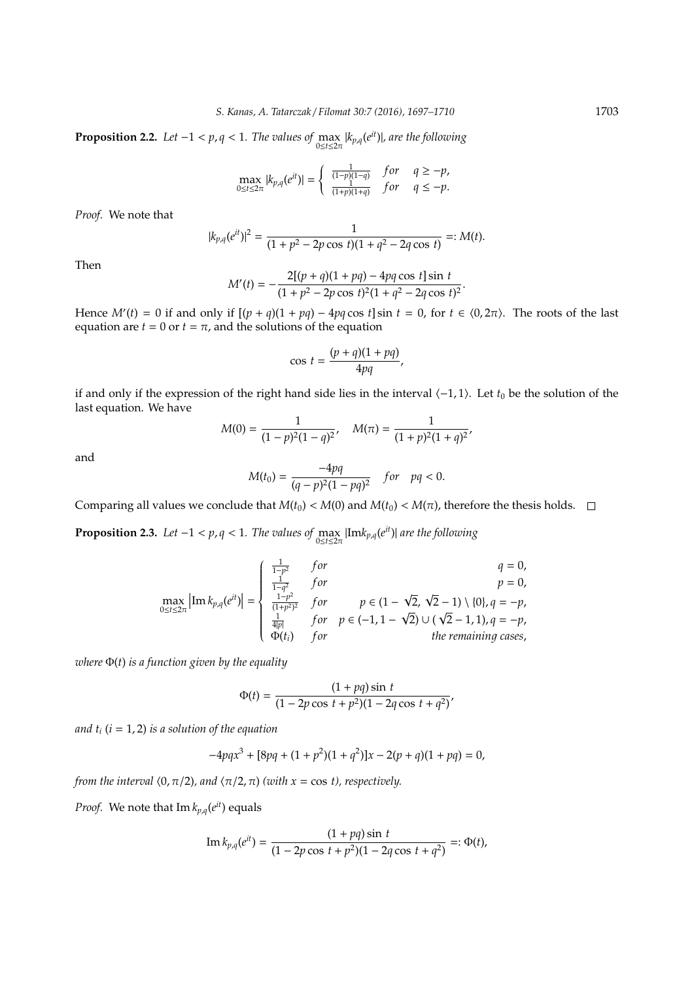**Proposition 2.2.** *Let*  $-1 < p, q < 1$ *. The values of*  $\max_{0 \le t \le 2\pi} |k_{p,q}(e^{it})|$ *, are the following* 

$$
\max_{0 \le t \le 2\pi} |k_{p,q}(e^{it})| = \begin{cases} \frac{1}{(1-p)(1-q)} & \text{for} \quad q \ge -p, \\ \frac{1}{(1+p)(1+q)} & \text{for} \quad q \le -p. \end{cases}
$$

*Proof.* We note that

$$
|k_{p,q}(e^{it})|^2 = \frac{1}{(1+p^2-2p\cos t)(1+q^2-2q\cos t)} =: M(t).
$$

Then

$$
M'(t) = -\frac{2[(p+q)(1+pq) - 4pq\cos t]\sin t}{(1+p^2-2p\cos t)^2(1+q^2-2q\cos t)^2}.
$$

Hence  $M'(t) = 0$  if and only if  $[(p + q)(1 + pq) - 4pq \cos t] \sin t = 0$ , for  $t \in (0, 2\pi)$ . The roots of the last equation are  $t = 0$  or  $t = \pi$ , and the solutions of the equation

$$
\cos t = \frac{(p+q)(1+pq)}{4pq},
$$

if and only if the expression of the right hand side lies in the interval h−1, 1i. Let *t*<sup>0</sup> be the solution of the last equation. We have

$$
M(0) = \frac{1}{(1-p)^2(1-q)^2}, \quad M(\pi) = \frac{1}{(1+p)^2(1+q)^2},
$$

and

$$
M(t_0) = \frac{-4pq}{(q-p)^2(1-pq)^2} \quad for \quad pq < 0.
$$

Comparing all values we conclude that  $M(t_0) < M(0)$  and  $M(t_0) < M(\pi)$ , therefore the thesis holds.  $\square$ 

**Proposition 2.3.** *Let*  $-1 < p, q < 1$ *. The values of*  $\max_{0 \le t \le 2\pi} |\text{Im} k_{p,q}(e^{it})|$  *are the following* 

$$
\max_{0 \le t \le 2\pi} \left| \text{Im} \, k_{p,q}(e^{it}) \right| = \begin{cases} \frac{1}{1-p^2} & \text{for} \\ \frac{1}{1-q^2} & \text{for} \\ \frac{1-p^2}{(1+p^2)^2} & \text{for} \end{cases} p \in (1 - \sqrt{2}, \sqrt{2} - 1) \setminus \{0\}, q = -p, \\ \frac{1}{4|p|} & \text{for} \quad p \in (-1, 1 - \sqrt{2}) \cup (\sqrt{2} - 1, 1), q = -p, \\ \frac{1}{\Phi(t_i)} & \text{for} \qquad \text{the remaining cases,} \end{cases}
$$

*where* Φ(*t*) *is a function given by the equality*

$$
\Phi(t) = \frac{(1 + pq)\sin t}{(1 - 2p\cos t + p^2)(1 - 2q\cos t + q^2)}
$$

*and t<sup>i</sup>* (*i* = 1, 2) *is a solution of the equation*

$$
-4pqx^3 + [8pq + (1 + p^2)(1 + q^2)]x - 2(p + q)(1 + pq) = 0,
$$

*from the interval*  $(0, \pi/2)$ *, and*  $\langle \pi/2, \pi \rangle$  *(with x = cos t), respectively.* 

*Proof.* We note that  $\text{Im } k_{p,q}(e^{it})$  equals

Im 
$$
k_{p,q}(e^{it}) = \frac{(1 + pq)\sin t}{(1 - 2p\cos t + p^2)(1 - 2q\cos t + q^2)} =: \Phi(t),
$$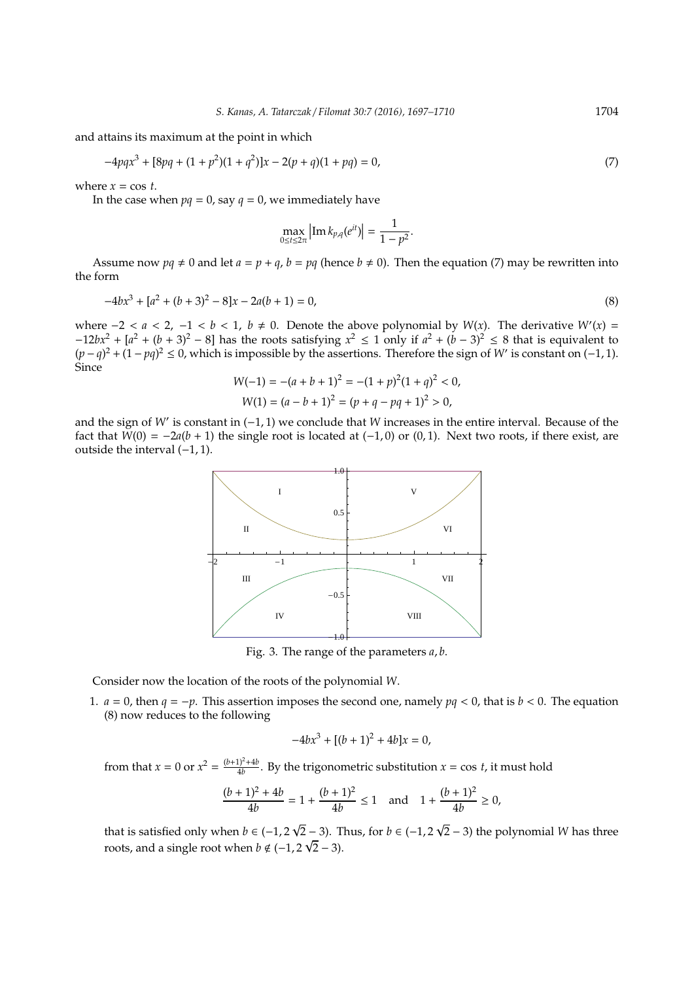and attains its maximum at the point in which

$$
-4pqx^3 + [8pq + (1 + p^2)(1 + q^2)]x - 2(p + q)(1 + pq) = 0,
$$
\n(7)

where  $x = \cos t$ .

In the case when  $pq = 0$ , say  $q = 0$ , we immediately have

$$
\max_{0 \le t \le 2\pi} \left| \text{Im } k_{p,q}(e^{it}) \right| = \frac{1}{1 - p^2}.
$$

Assume now  $pq \neq 0$  and let  $a = p + q$ ,  $b = pq$  (hence  $b \neq 0$ ). Then the equation (7) may be rewritten into the form

$$
-4bx^3 + [a^2 + (b+3)^2 - 8]x - 2a(b+1) = 0,
$$
\n(8)

where  $-2 < a < 2, -1 < b < 1, b ≠ 0$ . Denote the above polynomial by *W*(*x*). The derivative *W'*(*x*) =  $-12bx^2 + [a^2 + (b+3)^2 - 8]$  has the roots satisfying  $x^2 \le 1$  only if  $a^2 + (b-3)^2 \le 8$  that is equivalent to  $(p - q)^2 + (1 - pq)^2 \le 0$ , which is impossible by the assertions. Therefore the sign of *W'* is constant on (−1, 1). Since

$$
W(-1) = -(a+b+1)^2 = -(1+p)^2(1+q)^2 < 0,
$$
  
 
$$
W(1) = (a-b+1)^2 = (p+q-pq+1)^2 > 0,
$$

and the sign of *W'* is constant in (−1, 1) we conclude that *W* increases in the entire interval. Because of the fact that  $\tilde{W}(0) = -2a(b+1)$  the single root is located at  $(-1,0)$  or  $(0,1)$ . Next two roots, if there exist, are outside the interval (−1, 1).



Fig. 3. The range of the parameters *a*, *b*.

Consider now the location of the roots of the polynomial *W*.

1.  $a = 0$ , then  $q = -p$ . This assertion imposes the second one, namely  $pq < 0$ , that is  $b < 0$ . The equation (8) now reduces to the following

$$
-4bx^3 + [(b+1)^2 + 4b]x = 0,
$$

from that  $x = 0$  or  $x^2 = \frac{(b+1)^2 + 4b}{4b}$  $\frac{dy}{dt}$ . By the trigonometric substitution  $x = \cos t$ , it must hold

$$
\frac{(b+1)^2 + 4b}{4b} = 1 + \frac{(b+1)^2}{4b} \le 1 \quad \text{and} \quad 1 + \frac{(b+1)^2}{4b} \ge 0,
$$

that is satisfied only when  $b \in (-1, 2)$  $\sqrt{2}$  − 3). Thus, for *b* ∈ (−1, 2  $\overline{R}$  − 3). Thus, for  $b \in (-1, 2\sqrt{2} - 3)$  the polynomial *W* has three roots, and a single root when  $b \notin (-1, 2\sqrt{2}-3)$ .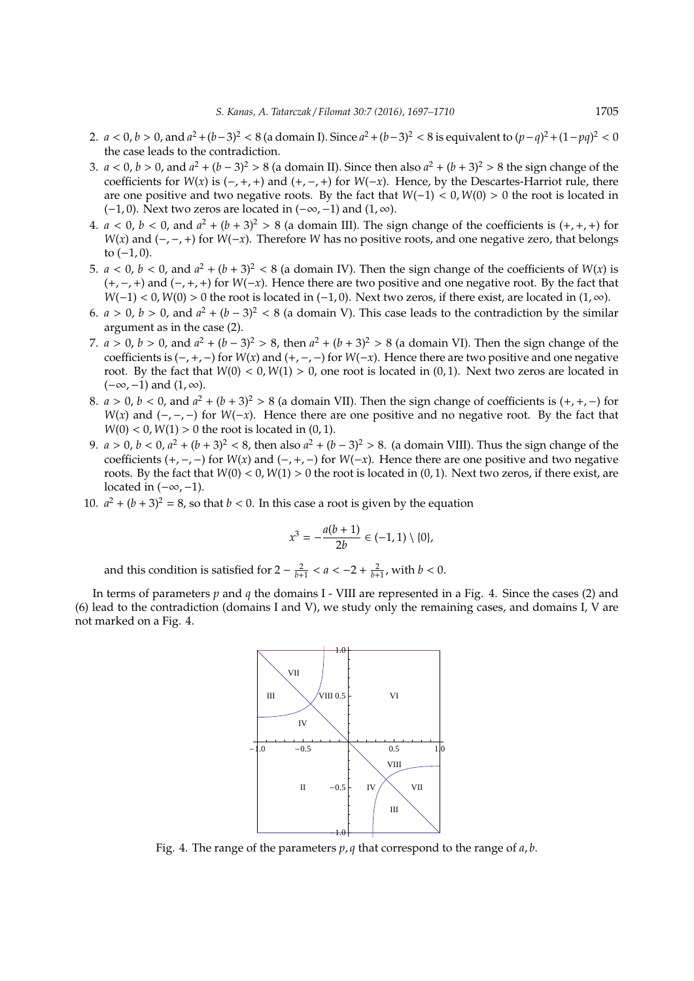- 2. *a* < 0, *b* > 0, and  $a^2 + (b-3)^2 < 8$  (a domain I). Since  $a^2 + (b-3)^2 < 8$  is equivalent to  $(p-q)^2 + (1-pq)^2 < 0$ the case leads to the contradiction.
- 3. *a* < 0, *b* > 0, and  $a^2 + (b 3)^2 > 8$  (a domain II). Since then also  $a^2 + (b + 3)^2 > 8$  the sign change of the coefficients for  $W(x)$  is  $(-, +, +)$  and  $(+, -, +)$  for  $W(-x)$ . Hence, by the Descartes-Harriot rule, there are one positive and two negative roots. By the fact that *W*(−1) < 0, *W*(0) > 0 the root is located in (-1,0). Next two zeros are located in  $(-\infty, -1)$  and  $(1, \infty)$ .
- 4.  $a < 0$ ,  $b < 0$ , and  $a^2 + (b + 3)^2 > 8$  (a domain III). The sign change of the coefficients is  $(+, +, +)$  for *W*(*x*) and (−,−,+) for *W*(−*x*). Therefore *W* has no positive roots, and one negative zero, that belongs to  $(-1, 0)$ .
- 5.  $a < 0$ ,  $b < 0$ , and  $a^2 + (b + 3)^2 < 8$  (a domain IV). Then the sign change of the coefficients of  $W(x)$  is (+,−,+) and (−,+,+) for *W*(−*x*). Hence there are two positive and one negative root. By the fact that  $W(-1) < 0$ ,  $W(0) > 0$  the root is located in (-1, 0). Next two zeros, if there exist, are located in (1,  $\infty$ ).
- 6.  $a > 0$ ,  $b > 0$ , and  $a^2 + (b 3)^2 < 8$  (a domain V). This case leads to the contradiction by the similar argument as in the case (2).
- 7. *a* > 0, *b* > 0, and  $a^2 + (b 3)^2$  > 8, then  $a^2 + (b + 3)^2$  > 8 (a domain VI). Then the sign change of the coefficients is (−,+,−) for *W*(*x*) and (+,−,−) for *W*(−*x*). Hence there are two positive and one negative root. By the fact that  $W(0) < 0, W(1) > 0$ , one root is located in  $(0, 1)$ . Next two zeros are located in  $(-\infty, -1)$  and  $(1, \infty)$ .
- 8.  $a > 0$ ,  $b < 0$ , and  $a^2 + (b + 3)^2 > 8$  (a domain VII). Then the sign change of coefficients is  $(+, +, -)$  for *W*(*x*) and (−,−,−) for *W*(−*x*). Hence there are one positive and no negative root. By the fact that  $W(0) < 0, W(1) > 0$  the root is located in  $(0, 1)$ .
- 9.  $a > 0$ ,  $b < 0$ ,  $a^2 + (b + 3)^2 < 8$ , then also  $a^2 + (b 3)^2 > 8$ . (a domain VIII). Thus the sign change of the coefficients (+,−,−) for *W*(*x*) and (−,+,−) for *W*(−*x*). Hence there are one positive and two negative roots. By the fact that *W*(0) < 0, *W*(1) > 0 the root is located in (0, 1). Next two zeros, if there exist, are located in  $(-\infty, -1)$ .
- 10.  $a^2 + (b+3)^2 = 8$ , so that  $b < 0$ . In this case a root is given by the equation

$$
x^3 = -\frac{a(b+1)}{2b} \in (-1,1) \setminus \{0\},\
$$

and this condition is satisfied for  $2 - \frac{2}{b+1} < a < -2 + \frac{2}{b+1}$ , with  $b < 0$ .

In terms of parameters *p* and *q* the domains I - VIII are represented in a Fig. 4. Since the cases (2) and (6) lead to the contradiction (domains I and V), we study only the remaining cases, and domains I, V are not marked on a Fig. 4.



Fig. 4. The range of the parameters *p*, *q* that correspond to the range of *a*, *b*.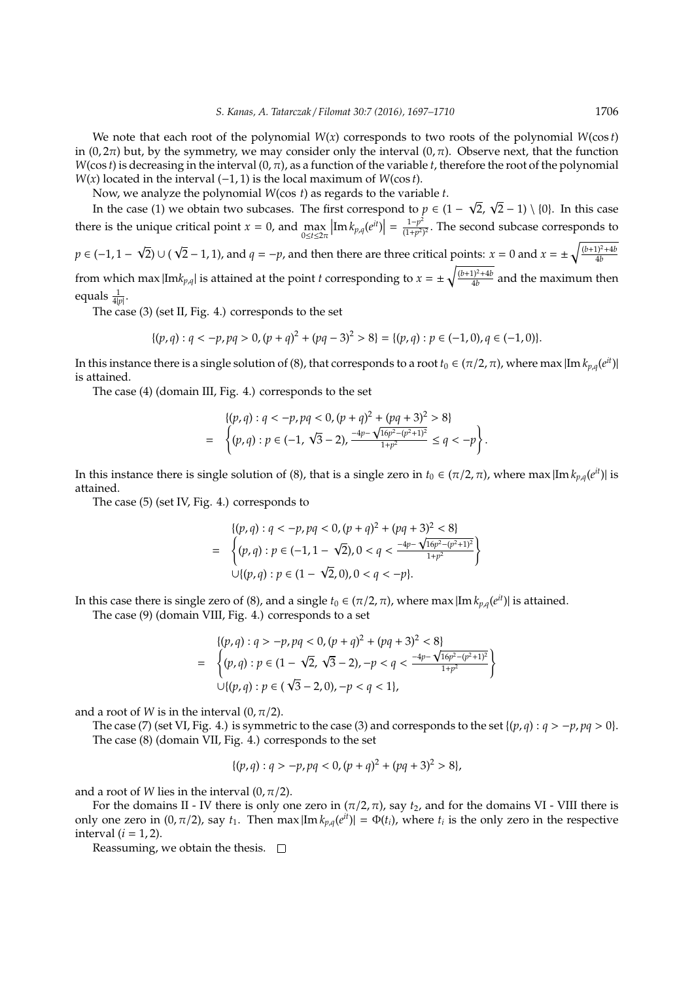We note that each root of the polynomial *W*(*x*) corresponds to two roots of the polynomial *W*(cos *t*) in (0,  $2\pi$ ) but, by the symmetry, we may consider only the interval (0,  $\pi$ ). Observe next, that the function  $W(\cos t)$  is decreasing in the interval  $(0, \pi)$ , as a function of the variable *t*, therefore the root of the polynomial *W*(*x*) located in the interval (−1, 1) is the local maximum of *W*(cos *t*).

Now, we analyze the polynomial *W*(cos *t*) as regards to the variable *t*.

In the case (1) we obtain two subcases. The first correspond to  $p \in (1 -$ 2,  $\sqrt{2} - 1$ ) \ {0}. In this case there is the unique critical point *x* = 0, and  $\max_{0 \le t \le 2\pi}$  $\left| \text{Im} \, k_{p,q}(e^{it}) \right| = \frac{1-p^2}{(1+p^2)}$  $\frac{1-p}{(1+p^2)^2}$ . The second subcase corresponds to *p* ∈ (−1, 1 − 2) ∪ (  $\sqrt{2} - 1$ , 1), and  $q = -p$ , and then there are three critical points:  $x = 0$  and  $x = \pm \sqrt{\frac{(b+1)^2 + 4b^2}{4b^2}}$ 4*b* from which max  $|{\rm Im}k_{p,q}|$  is attained at the point *t* corresponding to  $x = \pm \sqrt{\frac{(b+1)^2 + 4b^2}{4b}}$  $\frac{4b^{1}+4b}{4}$  and the maximum then

equals  $\frac{1}{4|p|}$ . The case (3) (set II, Fig. 4.) corresponds to the set

$$
\{(p,q): q < -p, pq > 0, (p+q)^2 + (pq-3)^2 > 8\} = \{(p,q): p \in (-1,0), q \in (-1,0)\}.
$$

In this instance there is a single solution of (8), that corresponds to a root  $t_0\in(\pi/2,\pi)$ , where max  $|{\rm Im}\,k_{p,q}(e^{it})|$ is attained.

The case (4) (domain III, Fig. 4.) corresponds to the set

$$
\begin{aligned} \n\{(p,q): q &< -p, pq < 0, (p+q)^2 + (pq+3)^2 > 8\} \\
&= \left\{(p,q): p \in (-1, \sqrt{3}-2), \frac{-4p - \sqrt{16p^2 - (p^2+1)^2}}{1+p^2} \le q < -p\right\}. \n\end{aligned}
$$

In this instance there is single solution of (8), that is a single zero in  $t_0 \in (\pi/2, \pi)$ , where max  $|\text{Im } k_{p,q}(e^{it})|$  is attained.

The case (5) (set IV, Fig. 4.) corresponds to

$$
\begin{aligned} \n\{(p,q): q &< -p, pq < 0, (p+q)^2 + (pq+3)^2 < 8\} \\
&= \left\{(p,q): p \in (-1, 1-\sqrt{2}), 0 < q < \frac{-4p - \sqrt{16p^2 - (p^2+1)^2}}{1+p^2} \right\} \\
\cup \{(p,q): p \in (1-\sqrt{2}, 0), 0 < q < -p\}. \n\end{aligned}
$$

In this case there is single zero of (8), and a single  $t_0 \in (\pi/2, \pi)$ , where max  $|\text{Im } k_{p,q}(e^{it})|$  is attained.

The case (9) (domain VIII, Fig. 4.) corresponds to a set

$$
\begin{aligned} \n\{(p,q): q > -p, pq < 0, (p+q)^2 + (pq+3)^2 < 8\\ \n&= \left\{ (p,q): p \in (1-\sqrt{2}, \sqrt{3}-2), -p < q < \frac{-4p - \sqrt{16p^2 - (p^2+1)^2}}{1+p^2} \right\} \\ \n&\cup \{(p,q): p \in (\sqrt{3}-2,0), -p < q < 1\}, \n\end{aligned}
$$

and a root of *W* is in the interval  $(0, \pi/2)$ .

The case (7) (set VI, Fig. 4.) is symmetric to the case (3) and corresponds to the set  $\{(p,q): q > -p, pq > 0\}$ . The case (8) (domain VII, Fig. 4.) corresponds to the set

$$
\{(p,q): q > -p, pq < 0, (p+q)^2 + (pq+3)^2 > 8\},
$$

and a root of *W* lies in the interval  $(0, \pi/2)$ .

For the domains II - IV there is only one zero in  $(\pi/2, \pi)$ , say  $t_2$ , and for the domains VI - VIII there is only one zero in  $(0, \pi/2)$ , say  $t_1$ . Then max  $|\text{Im } k_{p,q}(e^{it})| = \Phi(t_i)$ , where  $t_i$  is the only zero in the respective interval  $(i = 1, 2)$ .

Reassuming, we obtain the thesis.  $\square$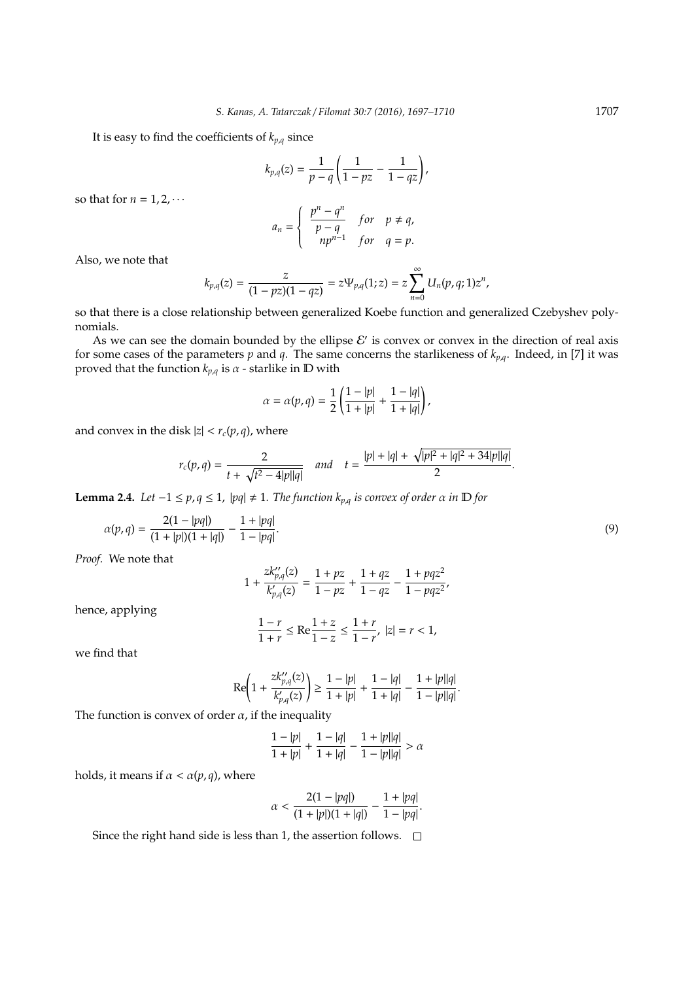It is easy to find the coefficients of  $k_{p,q}$  since

$$
k_{p,q}(z) = \frac{1}{p-q} \left( \frac{1}{1-pz} - \frac{1}{1-qz} \right),\,
$$

so that for  $n = 1, 2, \cdots$ 

$$
a_n = \begin{cases} \frac{p^n - q^n}{p - q} & \text{for } p \neq q, \\ np^{n-1} & \text{for } q = p. \end{cases}
$$

Also, we note that

$$
k_{p,q}(z)=\frac{z}{(1-pz)(1-qz)}=z\Psi_{p,q}(1;z)=z\sum_{n=0}^{\infty}U_{n}(p,q;1)z^{n},
$$

so that there is a close relationship between generalized Koebe function and generalized Czebyshev polynomials.

As we can see the domain bounded by the ellipse  $\mathcal{E}'$  is convex or convex in the direction of real axis for some cases of the parameters  $p$  and  $q$ . The same concerns the starlikeness of  $k_{p,q}$ . Indeed, in [7] it was proved that the function  $k_{p,q}$  is  $\alpha$  - starlike in  $\mathbb D$  with

$$
\alpha=\alpha(p,q)=\frac{1}{2}\left(\frac{1-|p|}{1+|p|}+\frac{1-|q|}{1+|q|}\right),
$$

and convex in the disk  $|z| < r_c(p,q)$ , where

$$
r_c(p,q) = \frac{2}{t + \sqrt{t^2 - 4|p||q|}} \quad \text{and} \quad t = \frac{|p| + |q| + \sqrt{|p|^2 + |q|^2 + 34|p||q|}}{2}.
$$

**Lemma 2.4.** *Let*  $-1 \le p, q \le 1$ ,  $|pq| \ne 1$ . *The function*  $k_{p,q}$  *is convex of order*  $\alpha$  *in*  $\mathbb{D}$  *for* 

$$
\alpha(p,q) = \frac{2(1-|pq|)}{(1+|p|)(1+|q|)} - \frac{1+|pq|}{1-|pq|}.\tag{9}
$$

*Proof.* We note that

$$
1+\frac{zk_{p,q}^{\prime\prime}(z)}{k_{p,q}^{\prime}(z)}=\frac{1+pz}{1-pz}+\frac{1+qz}{1-qz}-\frac{1+pqz^2}{1-pqz^2},
$$

hence, applying

$$
\frac{1-r}{1+r} \leq \text{Re} \frac{1+z}{1-z} \leq \frac{1+r}{1-r}, \; |z|=r<1,
$$

we find that

$$
\text{Re}\Bigg(1+\frac{zk_{p,q}^{\prime\prime}(z)}{k_{p,q}^{\prime}(z)}\Bigg)\geq \frac{1-|p|}{1+|p|}+\frac{1-|q|}{1+|q|}-\frac{1+|p||q|}{1-|p||q|}.
$$

The function is convex of order  $\alpha$ , if the inequality

$$
\frac{1-|p|}{1+|p|} + \frac{1-|q|}{1+|q|} - \frac{1+|p||q|}{1-|p||q|} > \alpha
$$

holds, it means if  $\alpha < \alpha(p, q)$ , where

$$
\alpha<\frac{2(1-|pq|)}{(1+|p|)(1+|q|)}-\frac{1+|pq|}{1-|pq|}.
$$

Since the right hand side is less than 1, the assertion follows.  $\Box$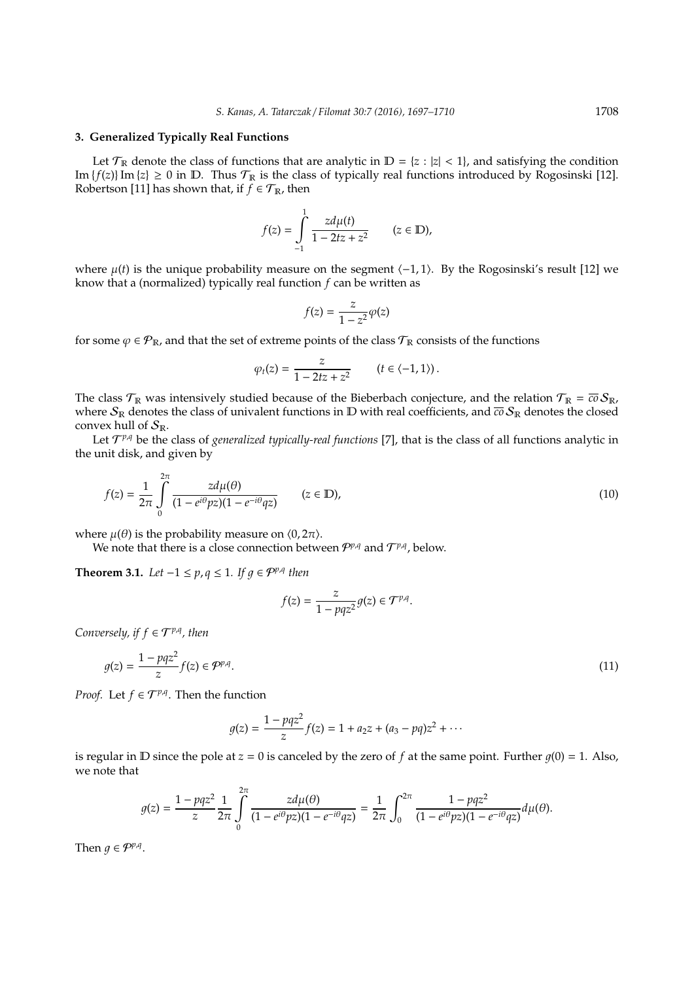#### **3. Generalized Typically Real Functions**

Let  $\mathcal{T}_\mathbb{R}$  denote the class of functions that are analytic in  $\mathbb{D} = \{z : |z| < 1\}$ , and satisfying the condition Im  $\{f(z)\}\$ Im  $\{z\} \geq 0$  in  $\mathbb D$ . Thus  $\mathcal T_{\mathbb R}$  is the class of typically real functions introduced by Rogosinski [12]. Robertson [11] has shown that, if  $f \in \mathcal{T}_{\mathbb{R}}$ , then

$$
f(z) = \int_{-1}^{1} \frac{z d\mu(t)}{1 - 2tz + z^2} \qquad (z \in \mathbb{D}),
$$

where  $\mu(t)$  is the unique probability measure on the segment  $\langle -1, 1 \rangle$ . By the Rogosinski's result [12] we know that a (normalized) typically real function *f* can be written as

$$
f(z) = \frac{z}{1 - z^2} \varphi(z)
$$

for some  $\varphi \in \mathcal{P}_{\mathbb{R}}$ , and that the set of extreme points of the class  $\mathcal{T}_{\mathbb{R}}$  consists of the functions

$$
\varphi_t(z) = \frac{z}{1 - 2tz + z^2} \qquad (t \in \langle -1, 1 \rangle).
$$

The class  $\mathcal{T}_\mathbb{R}$  was intensively studied because of the Bieberbach conjecture, and the relation  $\mathcal{T}_\mathbb{R} = \overline{co} S_\mathbb{R}$ , where  $S_{\mathbb{R}}$  denotes the class of univalent functions in D with real coefficients, and  $\overline{co} S_{\mathbb{R}}$  denotes the closed convex hull of  $S_{\mathbb{R}}$ .

Let  $\mathcal{T}^{p,q}$  be the class of *generalized typically-real functions* [7], that is the class of all functions analytic in the unit disk, and given by

$$
f(z) = \frac{1}{2\pi} \int_{0}^{2\pi} \frac{z d\mu(\theta)}{(1 - e^{i\theta} p z)(1 - e^{-i\theta} q z)} \qquad (z \in \mathbb{D}),
$$
 (10)

where  $\mu(\theta)$  is the probability measure on  $\langle 0, 2\pi \rangle$ .

We note that there is a close connection between  $P^{p,q}$  and  $T^{p,q}$ , below.

**Theorem 3.1.** *Let*  $-1 \le p, q \le 1$ *. If*  $g \in \mathcal{P}^{p,q}$  *then* 

$$
f(z) = \frac{z}{1 - pqz^2} g(z) \in \mathcal{T}^{p,q}
$$

*Conversely, if*  $f \in T^{p,q}$ *, then* 

$$
g(z) = \frac{1 - pqz^2}{z} f(z) \in \mathcal{P}^{p,q}.
$$
\n
$$
(11)
$$

.

*Proof.* Let  $f \in \mathcal{T}^{p,q}$ . Then the function

$$
g(z) = \frac{1 - pqz^2}{z} f(z) = 1 + a_2 z + (a_3 - pq)z^2 + \cdots
$$

is regular in  $D$  since the pole at  $z = 0$  is canceled by the zero of  $f$  at the same point. Further  $g(0) = 1$ . Also, we note that

$$
g(z) = \frac{1 - pqz^2}{z} \frac{1}{2\pi} \int_{0}^{2\pi} \frac{z d\mu(\theta)}{(1 - e^{i\theta}pz)(1 - e^{-i\theta}qz)} = \frac{1}{2\pi} \int_{0}^{2\pi} \frac{1 - pqz^2}{(1 - e^{i\theta}pz)(1 - e^{-i\theta}qz)} d\mu(\theta).
$$

Then  $g \in \mathcal{P}^{p,q}$ .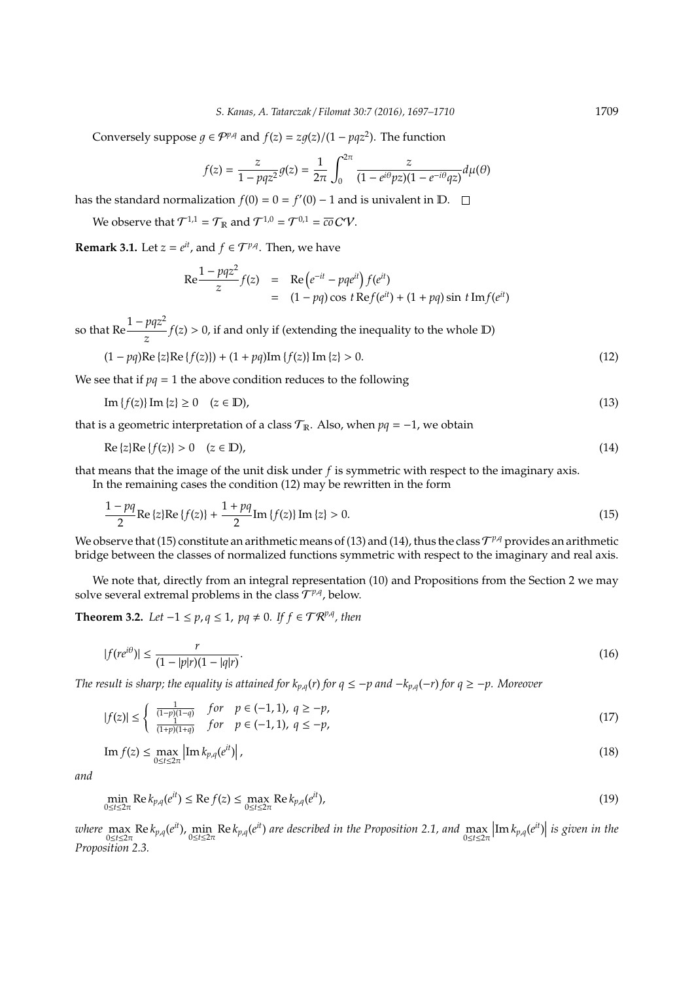Conversely suppose  $g \in \mathcal{P}^{p,q}$  and  $f(z) = zg(z)/(1 - pqz^2)$ . The function

$$
f(z) = \frac{z}{1 - pqz^2} g(z) = \frac{1}{2\pi} \int_0^{2\pi} \frac{z}{(1 - e^{i\theta}pz)(1 - e^{-i\theta}qz)} d\mu(\theta)
$$

has the standard normalization  $f(0) = 0 = f'(0) - 1$  and is univalent in D.

We observe that  $\mathcal{T}^{1,1} = \mathcal{T}_{\mathbb{R}}$  and  $\mathcal{T}^{1,0} = \mathcal{T}^{0,1} = \overline{co} \, CV$ .

**Remark 3.1.** Let  $z = e^{it}$ , and  $f \in \mathcal{T}^{p,q}$ . Then, we have

$$
\text{Re} \frac{1 - pqz^2}{z} f(z) = \text{Re} (e^{-it} - pqe^{it}) f(e^{it})
$$
  
= 
$$
(1 - pq) \cos t \text{Re} f(e^{it}) + (1 + pq) \sin t \text{Im} f(e^{it})
$$

so that  $\text{Re} \frac{1 - pqz^2}{z}$  $\frac{pqz}{z}$   $f(z) > 0$ , if and only if (extending the inequality to the whole D)

$$
(1 - pq)\text{Re}\{z\}\text{Re}\{f(z)\} + (1 + pq)\text{Im}\{f(z)\}\text{Im}\{z\} > 0.
$$
 (12)

We see that if  $pq = 1$  the above condition reduces to the following

$$
\operatorname{Im}\left\{f(z)\right\}\operatorname{Im}\left\{z\right\} \geq 0 \quad (z \in \mathbb{D}),\tag{13}
$$

that is a geometric interpretation of a class  $T_{\mathbb{R}}$ . Also, when  $pq = -1$ , we obtain

$$
\operatorname{Re}\left\{z\right\}\operatorname{Re}\left\{f(z)\right\} > 0 \quad (z \in \mathbb{D}),\tag{14}
$$

that means that the image of the unit disk under *f* is symmetric with respect to the imaginary axis. In the remaining cases the condition (12) may be rewritten in the form

$$
\frac{1 - pq}{2} \text{Re}\left\{z\right\} \text{Re}\left\{f(z)\right\} + \frac{1 + pq}{2} \text{Im}\left\{f(z)\right\} \text{Im}\left\{z\right\} > 0. \tag{15}
$$

We observe that (15) constitute an arithmetic means of (13) and (14), thus the class  $\mathcal{T}^{p,q}$  provides an arithmetic bridge between the classes of normalized functions symmetric with respect to the imaginary and real axis.

We note that, directly from an integral representation (10) and Propositions from the Section 2 we may solve several extremal problems in the class  $\mathcal{T}^{p,q}$ , below.

**Theorem 3.2.** *Let*  $-1 \le p, q \le 1$ ,  $pq \ne 0$ *. If*  $f \in \mathcal{TR}^{p,q}$ , then

$$
|f(re^{i\theta})| \le \frac{r}{(1-|p|r)(1-|q|r)}.\tag{16}
$$

*The result is sharp; the equality is attained for*  $k_{p,q}(r)$  *for*  $q \le -p$  *and*  $-k_{p,q}(-r)$  *for*  $q \ge -p$ *. Moreover* 

$$
|f(z)| \le \begin{cases} \frac{1}{(1-p)(1-q)} & \text{for } p \in (-1,1), q \ge -p, \\ \frac{1}{(1+p)(1+q)} & \text{for } p \in (-1,1), q \le -p, \end{cases}
$$
(17)

$$
\operatorname{Im} f(z) \le \max_{0 \le t \le 2\pi} \left| \operatorname{Im} k_{p,q}(e^{it}) \right|,\tag{18}
$$

*and*

$$
\min_{0 \le t \le 2\pi} \text{Re}\, k_{p,q}(e^{it}) \le \text{Re}\, f(z) \le \max_{0 \le t \le 2\pi} \text{Re}\, k_{p,q}(e^{it}),\tag{19}
$$

*where*  $\max_{0 \le t \le 2\pi}$  Re  $k_{p,q}(e^{it})$ ,  $\min_{0 \le t \le 2\pi}$  Re  $k_{p,q}(e^{it})$  are described in the Proposition 2.1, and  $\max_{0 \le t \le 2\pi}$  $\left|\text{Im }k_{p,q}(e^{it})\right|$  is given in the *Proposition 2.3.*